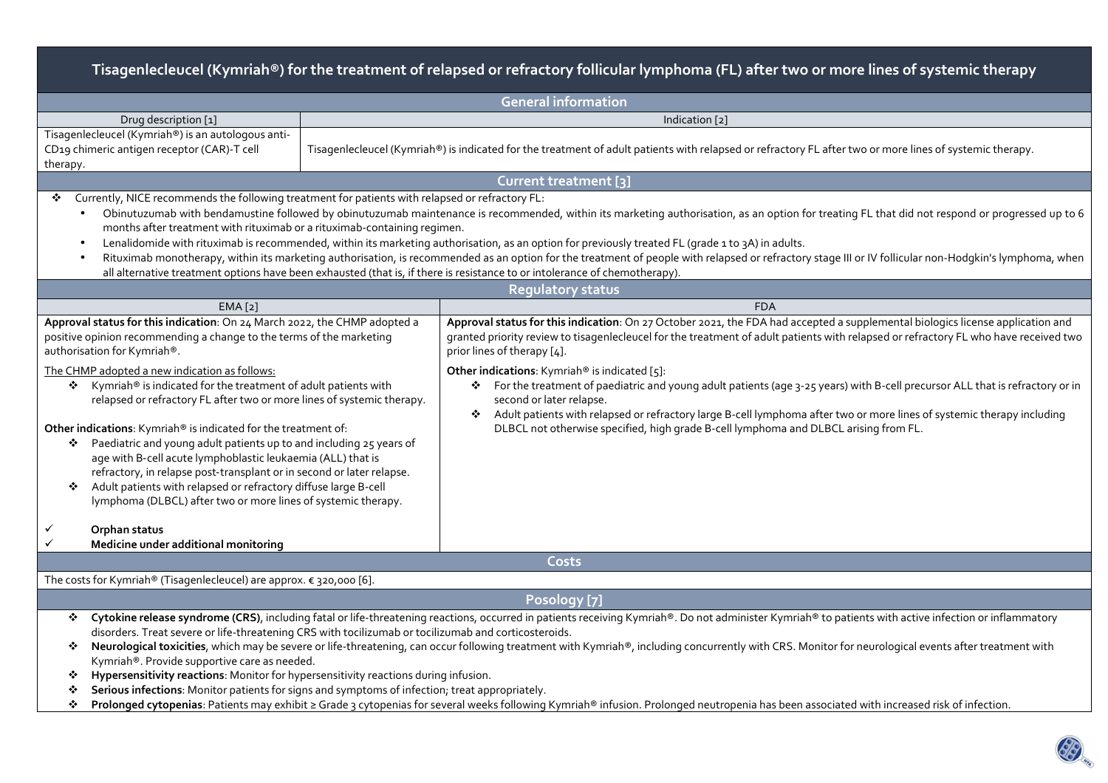| Tisagenlecleucel (Kymriah®) for the treatment of relapsed or refractory follicular lymphoma (FL) after two or more lines of systemic therapy                                                                                                                                                                                                                                                                                                                                                                                                                                                                                                                                                                                                                                                                                                                                                  |                                                                                                                                                                                            |                                                                                                                                                                                                                                                                                                                                                                                                                                                                                                                                                                                                                                                                                                                                             |  |  |  |  |  |
|-----------------------------------------------------------------------------------------------------------------------------------------------------------------------------------------------------------------------------------------------------------------------------------------------------------------------------------------------------------------------------------------------------------------------------------------------------------------------------------------------------------------------------------------------------------------------------------------------------------------------------------------------------------------------------------------------------------------------------------------------------------------------------------------------------------------------------------------------------------------------------------------------|--------------------------------------------------------------------------------------------------------------------------------------------------------------------------------------------|---------------------------------------------------------------------------------------------------------------------------------------------------------------------------------------------------------------------------------------------------------------------------------------------------------------------------------------------------------------------------------------------------------------------------------------------------------------------------------------------------------------------------------------------------------------------------------------------------------------------------------------------------------------------------------------------------------------------------------------------|--|--|--|--|--|
| <b>General information</b>                                                                                                                                                                                                                                                                                                                                                                                                                                                                                                                                                                                                                                                                                                                                                                                                                                                                    |                                                                                                                                                                                            |                                                                                                                                                                                                                                                                                                                                                                                                                                                                                                                                                                                                                                                                                                                                             |  |  |  |  |  |
| Drug description [1]                                                                                                                                                                                                                                                                                                                                                                                                                                                                                                                                                                                                                                                                                                                                                                                                                                                                          | Indication [2]                                                                                                                                                                             |                                                                                                                                                                                                                                                                                                                                                                                                                                                                                                                                                                                                                                                                                                                                             |  |  |  |  |  |
| Tisagenlecleucel (Kymriah®) is an autologous anti-<br>CD19 chimeric antigen receptor (CAR)-T cell<br>therapy.                                                                                                                                                                                                                                                                                                                                                                                                                                                                                                                                                                                                                                                                                                                                                                                 | Tisagenlecleucel (Kymriah®) is indicated for the treatment of adult patients with relapsed or refractory FL after two or more lines of systemic therapy.                                   |                                                                                                                                                                                                                                                                                                                                                                                                                                                                                                                                                                                                                                                                                                                                             |  |  |  |  |  |
|                                                                                                                                                                                                                                                                                                                                                                                                                                                                                                                                                                                                                                                                                                                                                                                                                                                                                               |                                                                                                                                                                                            | Current treatment [3]                                                                                                                                                                                                                                                                                                                                                                                                                                                                                                                                                                                                                                                                                                                       |  |  |  |  |  |
| Currently, NICE recommends the following treatment for patients with relapsed or refractory FL:<br>※<br>Obinutuzumab with bendamustine followed by obinutuzumab maintenance is recommended, within its marketing authorisation, as an option for treating FL that did not respond or progressed up to 6<br>$\bullet$<br>months after treatment with rituximab or a rituximab-containing regimen.<br>Lenalidomide with rituximab is recommended, within its marketing authorisation, as an option for previously treated FL (grade 1 to 3A) in adults.<br>Rituximab monotherapy, within its marketing authorisation, is recommended as an option for the treatment of people with relapsed or refractory stage III or IV follicular non-Hodgkin's lymphoma, when<br>all alternative treatment options have been exhausted (that is, if there is resistance to or intolerance of chemotherapy). |                                                                                                                                                                                            |                                                                                                                                                                                                                                                                                                                                                                                                                                                                                                                                                                                                                                                                                                                                             |  |  |  |  |  |
|                                                                                                                                                                                                                                                                                                                                                                                                                                                                                                                                                                                                                                                                                                                                                                                                                                                                                               |                                                                                                                                                                                            | <b>Regulatory status</b>                                                                                                                                                                                                                                                                                                                                                                                                                                                                                                                                                                                                                                                                                                                    |  |  |  |  |  |
| EMA[2]                                                                                                                                                                                                                                                                                                                                                                                                                                                                                                                                                                                                                                                                                                                                                                                                                                                                                        |                                                                                                                                                                                            | <b>FDA</b>                                                                                                                                                                                                                                                                                                                                                                                                                                                                                                                                                                                                                                                                                                                                  |  |  |  |  |  |
| Approval status for this indication: On 24 March 2022, the CHMP adopted a<br>positive opinion recommending a change to the terms of the marketing<br>authorisation for Kymriah®.<br>The CHMP adopted a new indication as follows:<br>* Kymriah® is indicated for the treatment of adult patients with<br>relapsed or refractory FL after two or more lines of systemic therapy.<br>Other indications: Kymriah® is indicated for the treatment of:<br>❖ Paediatric and young adult patients up to and including 25 years of<br>age with B-cell acute lymphoblastic leukaemia (ALL) that is<br>refractory, in relapse post-transplant or in second or later relapse.<br>Adult patients with relapsed or refractory diffuse large B-cell<br>❖<br>lymphoma (DLBCL) after two or more lines of systemic therapy.                                                                                   |                                                                                                                                                                                            | Approval status for this indication: On 27 October 2021, the FDA had accepted a supplemental biologics license application and<br>granted priority review to tisagenlecleucel for the treatment of adult patients with relapsed or refractory FL who have received two<br>prior lines of therapy [4].<br>Other indications: Kymriah® is indicated [5]:<br>◆ For the treatment of paediatric and young adult patients (age 3-25 years) with B-cell precursor ALL that is refractory or in<br>second or later relapse.<br>Adult patients with relapsed or refractory large B-cell lymphoma after two or more lines of systemic therapy including<br>❖<br>DLBCL not otherwise specified, high grade B-cell lymphoma and DLBCL arising from FL. |  |  |  |  |  |
| ✓<br>Orphan status<br>Medicine under additional monitoring                                                                                                                                                                                                                                                                                                                                                                                                                                                                                                                                                                                                                                                                                                                                                                                                                                    |                                                                                                                                                                                            |                                                                                                                                                                                                                                                                                                                                                                                                                                                                                                                                                                                                                                                                                                                                             |  |  |  |  |  |
|                                                                                                                                                                                                                                                                                                                                                                                                                                                                                                                                                                                                                                                                                                                                                                                                                                                                                               |                                                                                                                                                                                            | Costs                                                                                                                                                                                                                                                                                                                                                                                                                                                                                                                                                                                                                                                                                                                                       |  |  |  |  |  |
| The costs for Kymriah® (Tisagenlecleucel) are approx. € 320,000 [6].                                                                                                                                                                                                                                                                                                                                                                                                                                                                                                                                                                                                                                                                                                                                                                                                                          |                                                                                                                                                                                            |                                                                                                                                                                                                                                                                                                                                                                                                                                                                                                                                                                                                                                                                                                                                             |  |  |  |  |  |
| Posology [7]                                                                                                                                                                                                                                                                                                                                                                                                                                                                                                                                                                                                                                                                                                                                                                                                                                                                                  |                                                                                                                                                                                            |                                                                                                                                                                                                                                                                                                                                                                                                                                                                                                                                                                                                                                                                                                                                             |  |  |  |  |  |
| Cytokine release syndrome (CRS), including fatal or life-threatening reactions, occurred in patients receiving Kymriah®. Do not administer Kymriah® to patients with active infection or inflammatory<br>❖<br>disorders. Treat severe or life-threatening CRS with tocilizumab or tocilizumab and corticosteroids.<br>Neurological toxicities, which may be severe or life-threatening, can occur following treatment with Kymriah®, including concurrently with CRS. Monitor for neurological events after treatment with<br>❖<br>Kymriah®. Provide supportive care as needed.<br>Hypersensitivity reactions: Monitor for hypersensitivity reactions during infusion.<br>❖<br>Serious infections: Monitor patients for signs and symptoms of infection; treat appropriately.<br>❖                                                                                                            |                                                                                                                                                                                            |                                                                                                                                                                                                                                                                                                                                                                                                                                                                                                                                                                                                                                                                                                                                             |  |  |  |  |  |
| ❖                                                                                                                                                                                                                                                                                                                                                                                                                                                                                                                                                                                                                                                                                                                                                                                                                                                                                             | Prolonged cytopenias: Patients may exhibit ≥ Grade 3 cytopenias for several weeks following Kymriah® infusion. Prolonged neutropenia has been associated with increased risk of infection. |                                                                                                                                                                                                                                                                                                                                                                                                                                                                                                                                                                                                                                                                                                                                             |  |  |  |  |  |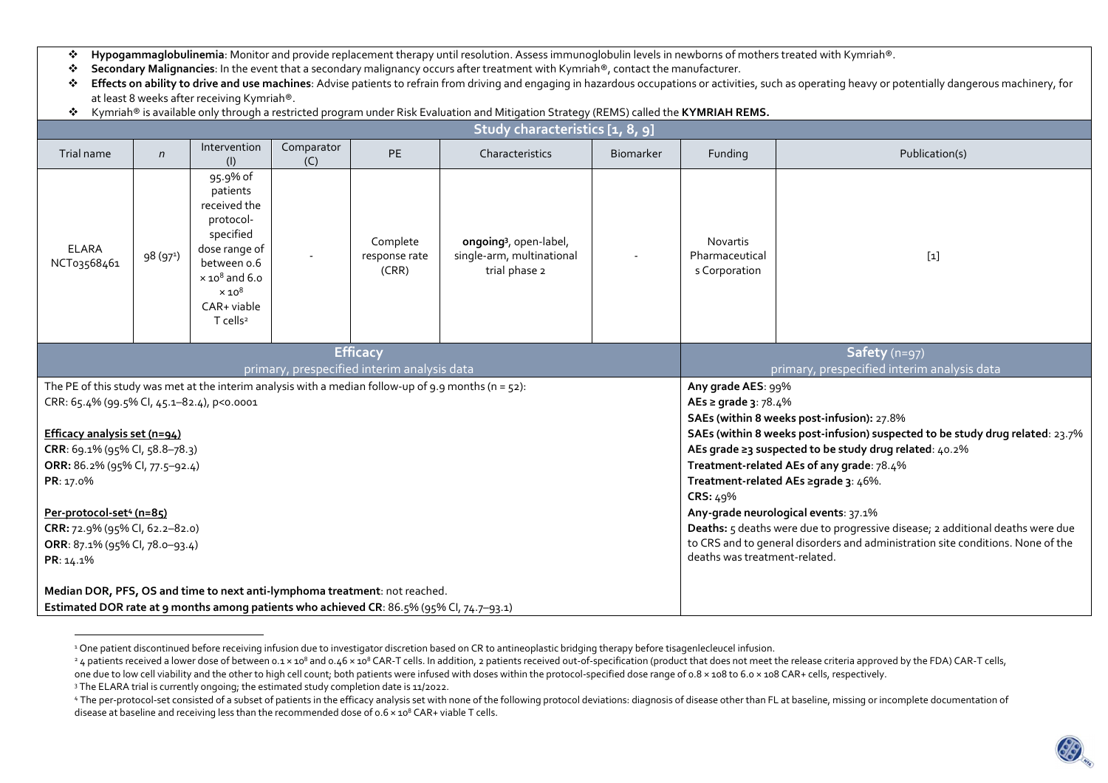- $\mathbf{r}^{\star}_{\mathbf{r}^{\star}}$ Hypogammaglobulinemia: Monitor and provide replacement therapy until resolution. Assess immunoglobulin levels in newborns of mothers treated with Kymriah<sup>®</sup>.<br>Secondary Malignancies: In the event that a secondary malignancy
- $\mathcal{L}_{\mathcal{P}}$ **Secondary Malignancies**: In the event that a secondary malignancy occurs after treatment with Kymriah®, contact the manufacturer.
- **\*** Effects on ability to drive and use machines: Advise patients to refrain from driving and engaging in hazardous occupations or activities, such as operating heavy or potentially dangerous machinery, for<br>● at least 8 w at least 8 weeks after receiving Kymriah®.
- $\bullet$ Kymriah® is available only through a restricted program under Risk Evaluation and Mitigation Strategy (REMS) called the **KYMRIAH REMS.**

| Study characteristics [1, 8, 9]                                                                         |                      |                                                                                                                                                                                        |                   |                                    |                                                                                  |                                                                                                                             |                                                    |                |  |
|---------------------------------------------------------------------------------------------------------|----------------------|----------------------------------------------------------------------------------------------------------------------------------------------------------------------------------------|-------------------|------------------------------------|----------------------------------------------------------------------------------|-----------------------------------------------------------------------------------------------------------------------------|----------------------------------------------------|----------------|--|
| Trial name                                                                                              | $\mathsf{n}$         | Intervention<br>(1)                                                                                                                                                                    | Comparator<br>(C) | PE                                 | Characteristics                                                                  | <b>Biomarker</b>                                                                                                            | Funding                                            | Publication(s) |  |
| <b>ELARA</b><br>NCT03568461                                                                             | 98(97 <sup>1</sup> ) | 95.9% of<br>patients<br>received the<br>protocol-<br>specified<br>dose range of<br>between o.6<br>$\times$ 10 $^{8}$ and 6.0<br>$\times 10^8$<br>CAR+ viable<br>$T$ cells <sup>2</sup> |                   | Complete<br>response rate<br>(CRR) | ongoing <sup>3</sup> , open-label,<br>single-arm, multinational<br>trial phase 2 |                                                                                                                             | <b>Novartis</b><br>Pharmaceutical<br>s Corporation | $[1]$          |  |
| <b>Efficacy</b><br>primary, prespecified interim analysis data                                          |                      |                                                                                                                                                                                        |                   |                                    |                                                                                  | Safety (n=97)<br>primary, prespecified interim analysis data                                                                |                                                    |                |  |
| The PE of this study was met at the interim analysis with a median follow-up of 9.9 months (n = $52$ ): |                      |                                                                                                                                                                                        |                   |                                    |                                                                                  |                                                                                                                             | Any grade AES: 99%                                 |                |  |
| CRR: 65.4% (99.5% Cl, 45.1-82.4), p<0.0001                                                              |                      |                                                                                                                                                                                        |                   |                                    |                                                                                  | AEs ≥ grade 3: 78.4%                                                                                                        |                                                    |                |  |
| Efficacy analysis set (n=94)                                                                            |                      |                                                                                                                                                                                        |                   |                                    |                                                                                  | SAEs (within 8 weeks post-infusion): 27.8%<br>SAEs (within 8 weeks post-infusion) suspected to be study drug related: 23.7% |                                                    |                |  |
| CRR: 69.1% (95% Cl, 58.8-78.3)                                                                          |                      |                                                                                                                                                                                        |                   |                                    |                                                                                  | AEs grade ≥3 suspected to be study drug related: 40.2%                                                                      |                                                    |                |  |
| ORR: 86.2% (95% Cl, 77.5-92.4)                                                                          |                      |                                                                                                                                                                                        |                   |                                    |                                                                                  | Treatment-related AEs of any grade: 78.4%                                                                                   |                                                    |                |  |
| PR: 17.0%                                                                                               |                      |                                                                                                                                                                                        |                   |                                    |                                                                                  | Treatment-related AEs ≥grade 3: 46%.                                                                                        |                                                    |                |  |
|                                                                                                         |                      |                                                                                                                                                                                        |                   |                                    |                                                                                  | CRS: 49%                                                                                                                    |                                                    |                |  |
| Per-protocol-set <sup>4</sup> (n=85)                                                                    |                      |                                                                                                                                                                                        |                   |                                    |                                                                                  | Any-grade neurological events: 37.1%                                                                                        |                                                    |                |  |
| CRR: 72.9% (95% CI, 62.2-82.0)                                                                          |                      |                                                                                                                                                                                        |                   |                                    |                                                                                  | Deaths: 5 deaths were due to progressive disease; 2 additional deaths were due                                              |                                                    |                |  |
| ORR: 87.1% (95% Cl, 78.0-93.4)                                                                          |                      |                                                                                                                                                                                        |                   |                                    |                                                                                  | to CRS and to general disorders and administration site conditions. None of the<br>deaths was treatment-related.            |                                                    |                |  |
| PR: 14.1%                                                                                               |                      |                                                                                                                                                                                        |                   |                                    |                                                                                  |                                                                                                                             |                                                    |                |  |
| Median DOR, PFS, OS and time to next anti-lymphoma treatment: not reached.                              |                      |                                                                                                                                                                                        |                   |                                    |                                                                                  |                                                                                                                             |                                                    |                |  |
| Estimated DOR rate at 9 months among patients who achieved CR: 86.5% (95% Cl, 74.7-93.1)                |                      |                                                                                                                                                                                        |                   |                                    |                                                                                  |                                                                                                                             |                                                    |                |  |

<sup>&</sup>lt;sup>1</sup> One patient discontinued before receiving infusion due to investigator discretion based on CR to antineoplastic bridging therapy before tisagenlecleucel infusion.



<sup>&</sup>lt;sup>2</sup> 4 patients received a lower dose of between 0.1 × 108 and 0.46 × 108 CAR-T cells. In addition, 2 patients received out-of-specification (product that does not meet the release criteria approved by the FDA) CAR-T cells, one due to low cell viability and the other to high cell count; both patients were infused with doses within the protocol-specified dose range of 0.8 × 108 to 6.0 × 108 CAR+ cells, respectively.

<sup>&</sup>lt;sup>3</sup> The ELARA trial is currently ongoing; the estimated study completion date is 11/2022.

<sup>4</sup> The per-protocol-set consisted of a subset of patients in the efficacy analysis set with none of the following protocol deviations: diagnosis of disease other than FL at baseline, missing or incomplete documentation of disease at baseline and receiving less than the recommended dose of  $0.6 \times 10^8$  CAR+ viable T cells.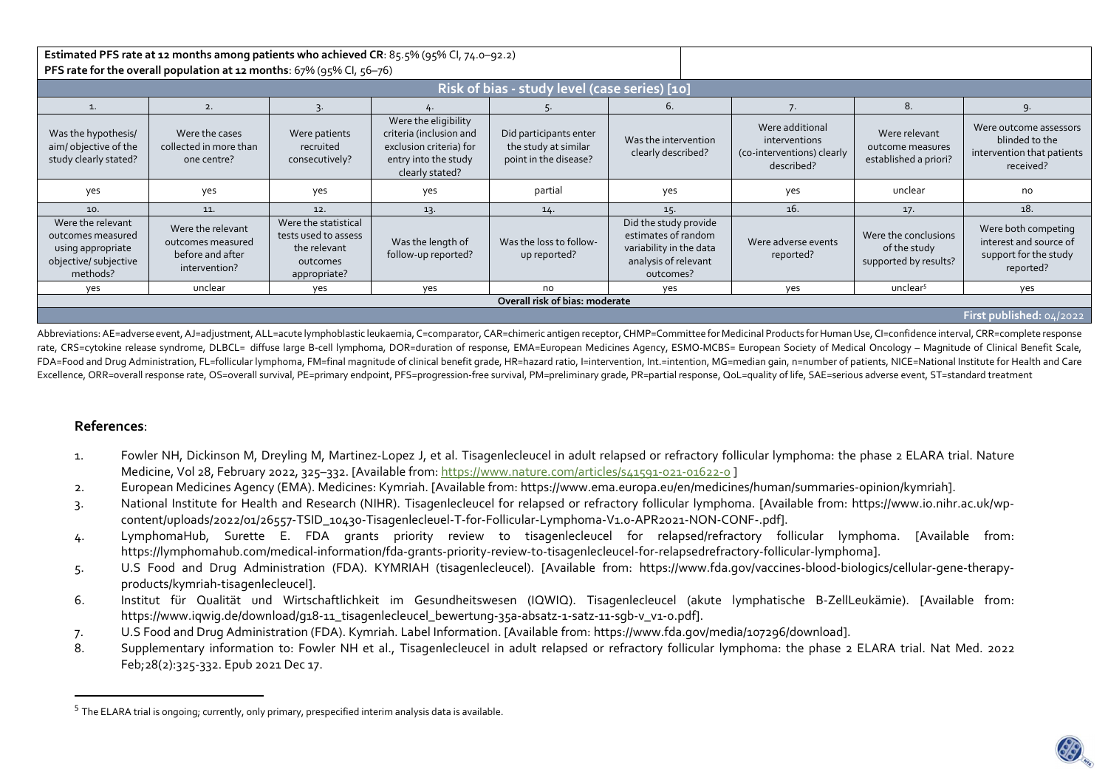| Estimated PFS rate at 12 months among patients who achieved CR: 85.5% (95% Cl, 74.0-92.2)        |                                                                             |                                                                                          |                                                                                                                       |                                                                         |                                                                                                              |                                                                              |                                                               |                                                                                     |  |  |
|--------------------------------------------------------------------------------------------------|-----------------------------------------------------------------------------|------------------------------------------------------------------------------------------|-----------------------------------------------------------------------------------------------------------------------|-------------------------------------------------------------------------|--------------------------------------------------------------------------------------------------------------|------------------------------------------------------------------------------|---------------------------------------------------------------|-------------------------------------------------------------------------------------|--|--|
| PFS rate for the overall population at 12 months: 67% (95% CI, 56-76)                            |                                                                             |                                                                                          |                                                                                                                       |                                                                         |                                                                                                              |                                                                              |                                                               |                                                                                     |  |  |
|                                                                                                  |                                                                             |                                                                                          |                                                                                                                       |                                                                         |                                                                                                              |                                                                              |                                                               |                                                                                     |  |  |
| Risk of bias - study level (case series) [10]                                                    |                                                                             |                                                                                          |                                                                                                                       |                                                                         |                                                                                                              |                                                                              |                                                               |                                                                                     |  |  |
|                                                                                                  | 2.                                                                          |                                                                                          |                                                                                                                       |                                                                         | 6.                                                                                                           |                                                                              | 8.                                                            | 9                                                                                   |  |  |
| Was the hypothesis/<br>aim/objective of the<br>study clearly stated?                             | Were the cases<br>collected in more than<br>one centre?                     | Were patients<br>recruited<br>consecutively?                                             | Were the eligibility<br>criteria (inclusion and<br>exclusion criteria) for<br>entry into the study<br>clearly stated? | Did participants enter<br>the study at similar<br>point in the disease? | Was the intervention<br>clearly described?                                                                   | Were additional<br>interventions<br>(co-interventions) clearly<br>described? | Were relevant<br>outcome measures<br>established a priori?    | Were outcome assessors<br>blinded to the<br>intervention that patients<br>received? |  |  |
| yes                                                                                              | yes                                                                         | yes                                                                                      | yes                                                                                                                   | partial                                                                 | yes                                                                                                          | yes                                                                          | unclear                                                       | no                                                                                  |  |  |
| 10.                                                                                              | 11.                                                                         | 12.                                                                                      | 13.                                                                                                                   | 14.                                                                     | 15.                                                                                                          | 16.                                                                          |                                                               | 18.                                                                                 |  |  |
| Were the relevant<br>outcomes measured<br>using appropriate<br>objective/ subjective<br>methods? | Were the relevant<br>outcomes measured<br>before and after<br>intervention? | Were the statistical<br>tests used to assess<br>the relevant<br>outcomes<br>appropriate? | Was the length of<br>follow-up reported?                                                                              | Was the loss to follow-<br>up reported?                                 | Did the study provide<br>estimates of random<br>variability in the data<br>analysis of relevant<br>outcomes? | Were adverse events<br>reported?                                             | Were the conclusions<br>of the study<br>supported by results? | Were both competing<br>interest and source of<br>support for the study<br>reported? |  |  |
| yes                                                                                              | unclear                                                                     | yes                                                                                      | yes                                                                                                                   | no                                                                      | yes                                                                                                          | yes                                                                          | unclear <sup>5</sup>                                          | yes                                                                                 |  |  |
| Overall risk of bias: moderate                                                                   |                                                                             |                                                                                          |                                                                                                                       |                                                                         |                                                                                                              |                                                                              |                                                               |                                                                                     |  |  |
| First published: 04/2022                                                                         |                                                                             |                                                                                          |                                                                                                                       |                                                                         |                                                                                                              |                                                                              |                                                               |                                                                                     |  |  |

Abbreviations: AE=adverse event, AJ=adjustment, ALL=acute lymphoblastic leukaemia, C=comparator, CAR=chimeric antigen receptor, CHMP=Committee for Medicinal Products for Human Use, CI=confidence interval, CRR=complete resp rate, CRS=cytokine release syndrome, DLBCL= diffuse large B‑cell lymphoma, DOR=duration of response, EMA=European Medicines Agency, ESMO-MCBS= European Society of Medical Oncology – Magnitude of Clinical Benefit Scale, FDA=Food and Drug Administration, FL=follicular lymphoma, FM=final magnitude of clinical benefit grade, HR=hazard ratio, l=intervention, Int.=intention, MG=median gain, n=number of patients, NICE=National Institute for Hea Excellence, ORR=overall response rate, OS=overall survival, PE=primary endpoint, PFS=progression-free survival, PM=preliminary grade, PR=partial response, QoL=quality of life, SAE=serious adverse event, ST=standard treatment

## **References**:

- 1. Fowler NH, Dickinson M, Dreyling M, Martinez-Lopez J, et al. Tisagenlecleucel in adult relapsed or refractory follicular lymphoma: the phase 2 ELARA trial. Nature Medicine, Vol 28, February 2022, 325-332. [Available from: https://www.nature.com/articles/s41591-021-01622-0]
- 2. European Medicines Agency (EMA). Medicines: Kymriah. [Available from: https://www.ema.europa.eu/en/medicines/human/summaries-opinion/kymriah].
- 3. National Institute for Health and Research (NIHR). Tisagenlecleucel for relapsed or refractory follicular lymphoma. [Available from: https://www.io.nihr.ac.uk/wpcontent/uploads/2022/01/26557-TSID\_10430-Tisagenlecleuel-T-for-Follicular-Lymphoma-V1.0-APR2021-NON-CONF-.pdf].
- 4. LymphomaHub, Surette E. FDA grants priority review to tisagenlecleucel for relapsed/refractory follicular lymphoma. [Available from: https://lymphomahub.com/medical-information/fda-grants-priority-review-to-tisagenlecleucel-for-relapsedrefractory-follicular-lymphoma].
- 5. U.S Food and Drug Administration (FDA). KYMRIAH (tisagenlecleucel). [Available from: https://www.fda.gov/vaccines-blood-biologics/cellular-gene-therapyproducts/kymriah-tisagenlecleucel].
- 6. Institut für Qualität und Wirtschaftlichkeit im Gesundheitswesen (IQWIQ). Tisagenlecleucel (akute lymphatische B-ZellLeukämie). [Available from: https://www.iqwig.de/download/g18-11\_tisagenlecleucel\_bewertung-35a-absatz-1-satz-11-sgb-v\_v1-0.pdf].
- 7. U.S Food and Drug Administration (FDA). Kymriah. Label Information. [Available from: https://www.fda.gov/media/107296/download].
- 8. Supplementary information to: Fowler NH et al., Tisagenlecleucel in adult relapsed or refractory follicular lymphoma: the phase 2 ELARA trial. Nat Med. 2022 Feb;28(2):325-332. Epub 2021 Dec 17.

 $^{\rm 5}$  The ELARA trial is ongoing; currently, only primary, prespecified interim analysis data is available.